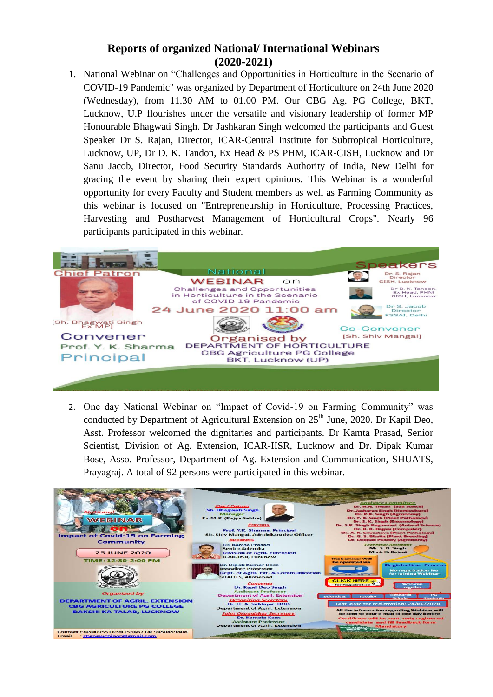## **Reports of organized National/ International Webinars (2020-2021)**

1. National Webinar on "Challenges and Opportunities in Horticulture in the Scenario of COVID-19 Pandemic" was organized by Department of Horticulture on 24th June 2020 (Wednesday), from 11.30 AM to 01.00 PM. Our CBG Ag. PG College, BKT, Lucknow, U.P flourishes under the versatile and visionary leadership of former MP Honourable Bhagwati Singh. Dr Jashkaran Singh welcomed the participants and Guest Speaker Dr S. Rajan, Director, ICAR-Central Institute for Subtropical Horticulture, Lucknow, UP, Dr D. K. Tandon, Ex Head & PS PHM, ICAR-CISH, Lucknow and Dr Sanu Jacob, Director, Food Security Standards Authority of India, New Delhi for gracing the event by sharing their expert opinions. This Webinar is a wonderful opportunity for every Faculty and Student members as well as Farming Community as this webinar is focused on "Entrepreneurship in Horticulture, Processing Practices, Harvesting and Postharvest Management of Horticultural Crops". Nearly 96 participants participated in this webinar.



2. One day National Webinar on "Impact of Covid-19 on Farming Community" was conducted by Department of Agricultural Extension on  $25<sup>th</sup>$  June, 2020. Dr Kapil Deo, Asst. Professor welcomed the dignitaries and participants. Dr Kamta Prasad, Senior Scientist, Division of Ag. Extension, ICAR-IISR, Lucknow and Dr. Dipak Kumar Bose, Asso. Professor, Department of Ag. Extension and Communication, SHUATS, Prayagraj. A total of 92 persons were participated in this webinar.

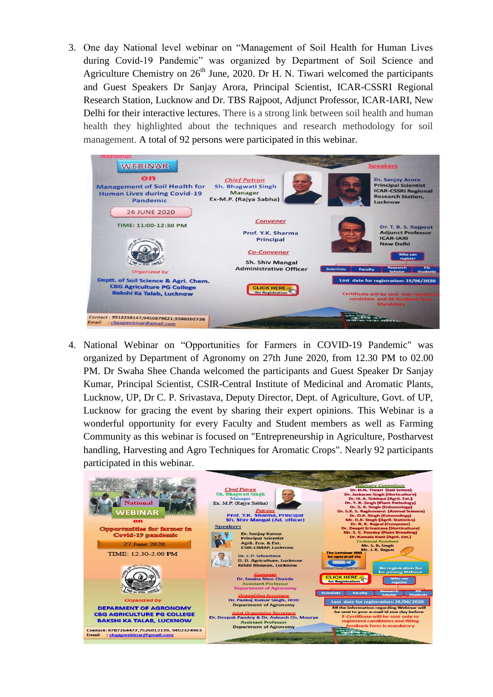3. One day National level webinar on "Management of Soil Health for Human Lives during Covid-19 Pandemic" was organized by Department of Soil Science and Agriculture Chemistry on  $26<sup>th</sup>$  June, 2020. Dr H. N. Tiwari welcomed the participants and Guest Speakers Dr Sanjay Arora, Principal Scientist, ICAR-CSSRI Regional Research Station, Lucknow and Dr. TBS Rajpoot, Adjunct Professor, ICAR-IARI, New Delhi for their interactive lectures. There is a strong link between soil health and human health they highlighted about the techniques and research methodology for soil management. A total of 92 persons were participated in this webinar.

| lational<br><b>WEBINAR</b>                                                                   | <b>Speakers</b>                                                                      |                                                                                    |                                                                                                                            |                        |  |
|----------------------------------------------------------------------------------------------|--------------------------------------------------------------------------------------|------------------------------------------------------------------------------------|----------------------------------------------------------------------------------------------------------------------------|------------------------|--|
| on<br><b>Management of Soil Health for</b><br><b>Human Lives during Covid-19</b><br>Pandemic | <b>Chief Patron</b><br>Sh. Bhagwati Singh<br><b>Manager</b><br>Ex-M.P. (Rajya Sabha) |                                                                                    | <b>Dr. Sanjay Arora</b><br><b>Principal Scientist</b><br><b>ICAR-CSSRI Regional</b><br><b>Research Station.</b><br>Lucknow |                        |  |
| <b>26 JUNE 2020</b><br>TIME: 11:00-12:30 PM                                                  | <b>Convener</b><br>Prof. Y.K. Sharma<br><b>Principal</b><br><b>Co-Convener</b>       |                                                                                    | Dr. T. B. S. Rajpoot<br><b>Adjunct Professor</b><br><b>ICAR-IARI</b><br><b>New Delhi</b><br><b>Who can</b><br>register     |                        |  |
| <b>Organized by</b>                                                                          | <b>Sh. Shiv Mangal</b><br><b>Administrative Officer</b>                              | <b>Scientists</b><br><b>Faculty</b>                                                | <b>Research</b><br><b>Scholar</b>                                                                                          | P G<br><b>Students</b> |  |
| Deptt. of Soil Science & Agri. Chem.                                                         |                                                                                      |                                                                                    | Last date for registration: 25/06/2020                                                                                     |                        |  |
| <b>CBG Agriculture PG College</b><br><b>Bakshi Ka Talab, Lucknow</b>                         | <b>CLICK HERE **</b><br>for Registration                                             | Certificate will be sent only n<br>candidate and fill feedback<br><b>Mandatory</b> |                                                                                                                            |                        |  |
| Contact: 9918258147;9450879621;9580202738<br><b>Email</b><br>: cbgagwebinar@gmail.com        |                                                                                      |                                                                                    |                                                                                                                            |                        |  |

4. National Webinar on "Opportunities for Farmers in COVID-19 Pandemic" was organized by Department of Agronomy on 27th June 2020, from 12.30 PM to 02.00 PM. Dr Swaha Shee Chanda welcomed the participants and Guest Speaker Dr Sanjay Kumar, Principal Scientist, CSIR-Central Institute of Medicinal and Aromatic Plants, Lucknow, UP, Dr C. P. Srivastava, Deputy Director, Dept. of Agriculture, Govt. of UP, Lucknow for gracing the event by sharing their expert opinions. This Webinar is a wonderful opportunity for every Faculty and Student members as well as Farming Community as this webinar is focused on "Entrepreneurship in Agriculture, Postharvest handling, Harvesting and Agro Techniques for Aromatic Crops". Nearly 92 participants participated in this webinar.